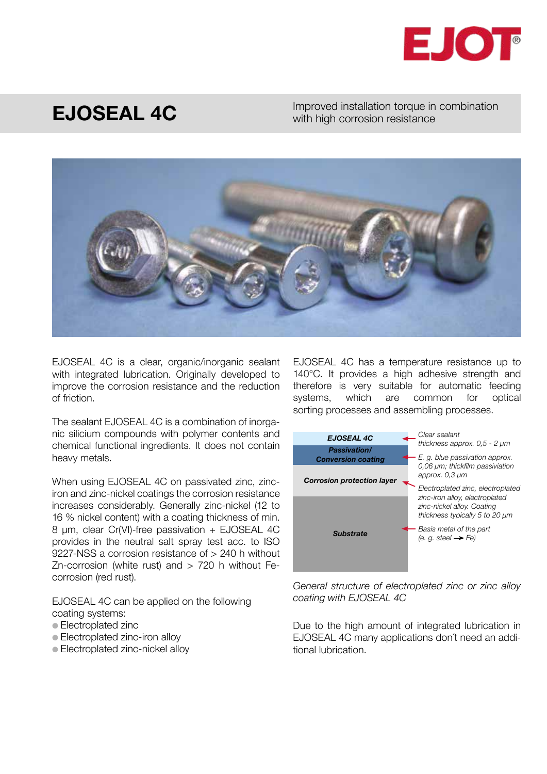

## EJOSEAL 4C

Improved installation torque in combination with high corrosion resistance



EJOSEAL 4C is a clear, organic/inorganic sealant with integrated lubrication. Originally developed to improve the corrosion resistance and the reduction of friction.

The sealant EJOSEAL 4C is a combination of inorganic silicium compounds with polymer contents and chemical functional ingredients. It does not contain heavy metals.

When using EJOSEAL 4C on passivated zinc, zinciron and zinc-nickel coatings the corrosion resistance increases considerably. Generally zinc-nickel (12 to 16 % nickel content) with a coating thickness of min. 8 µm, clear Cr(VI)-free passivation + EJOSEAL 4C provides in the neutral salt spray test acc. to ISO 9227-NSS a corrosion resistance of > 240 h without Zn-corrosion (white rust) and  $> 720$  h without Fecorrosion (red rust).

EJOSEAL 4C can be applied on the following coating systems:

- Electroplated zinc
- Electroplated zinc-iron alloy
- Electroplated zinc-nickel alloy

EJOSEAL 4C has a temperature resistance up to 140°C. It provides a high adhesive strength and therefore is very suitable for automatic feeding systems, which are common for optical sorting processes and assembling processes.



General structure of electroplated zinc or zinc alloy coating with EJOSEAL 4C

Due to the high amount of integrated lubrication in EJOSEAL 4C many applications don´t need an additional lubrication.